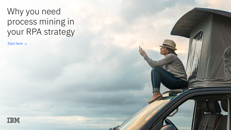# Why you need process mining in your RPA strategy

Start here  $\rightarrow$ 

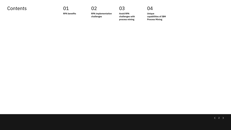### Contents 01

**RPA benefits**

**RPA implementation challenges**

02

**Avoid RPA challenges with process mining**

03

**Unique capabilities of IBM Process Mining**

04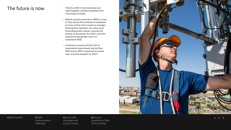### The future is now **Find and The future** is now the There's a shift in how businesses are

- reaching goals, staying competitive and improving processes.
- Robotic process automation (RPA) is a way to help reduce the workload of employees so more of their time is spent on strategic thinking than repetitive, low-value work. Automating tasks reduces reworks and speeds up processes, for better customer experience and greater return on investment (ROI).
- A Deloitte survey found that 53% of respondents have already started their RPA journey. RPA is expected to achieve near-universal adoption by 2023.1



#### 01 RPA benefits 02 RPA

implementation challenges

03 Avoid RPA challenges with process mining

04 Unique capabilities of IBM Process Mining

 $\langle 3 \rangle$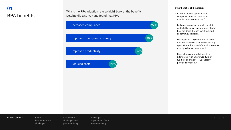## 01 RPA benefits

Why is the RPA adoption rate so high? Look at the benefits. Deloitte did a survey and found that RPA:



#### **Other benefits of RPA include:**

- Extreme process speed. A robot completes tasks 15 times faster than its human counterpart.<sup>2</sup>
- Full process control through complete auditability with a constant view of what bots are doing through event logs and abnormality detection.
- No impact on IT systems and no need for any variation or evolution of existing applications. Bots use information systems exactly as human resources do.
- Payback was reported at less than 12 months, with an average 20% of full-time equivalent (FTE) capacity provided by robots.3

#### 01 RPA benefits 602 RPA

implementation challenges

03 Avoid RPA challenges with process mining

04 Unique capabilities of IBM Process Mining

 $\langle 4 \rangle$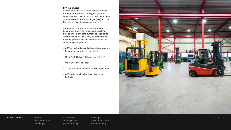#### **RPA in numbers**

According to the Institute for Robotic Process Automation & Artificial Intelligence, an RPA software robot costs about one third of the price of an offshore full-time employee (FTE) and one fifth of the price of an onshore worker. 3

Automating repetitive and labor-intensive back-office processes reduces process lead time and costs and gets humans back to doing what they do best: what they do best: strategic thinking, problem-solving, communicating and connecting with people.

- 45% of back-office activities can be automated by adapting current technologies<sup>4</sup>
- Up to 1,000% typical three-year returns $5$
- Up to 50% cost savings $^6$
- $-200\%$  ROI in the first year of RPA deployment<sup>4</sup>
- 80% reduction in labor-intensive tasks by 80% 7



#### 01 RPA benefits 02 RPA

implementation challenges

03 Avoid RPA challenges with process mining

04 Unique capabilities of IBM Process Mining

 $\langle 5 \rangle$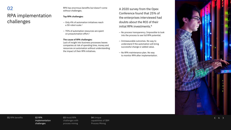### 02

### RPA implementation challenges

RPA has enormous benefits but doesn't come without challenges.

#### **Top RPA challenges:**

- Only 4% of automation initiatives reach a 50-robot scale.<sup>1</sup>
- 70% of automation resources are spent on preautomation effort.<sup>1</sup>

#### **The cause of RPA challenges:**

Lack of insight into business processes leaves companies at risk of spending time, money and resources on automation without understanding the impact of their RPA initiatives.

A 2020 survey from the Opex Conference found that 25% of the enterprises interviewed had doubts about the ROI of their initial RPA investments.<sup>8</sup>

- No process transparency. Impossible to look into the process to see full RPA potential.
- Immeasurable outcomes. No way to understand if the automation will bring successful change or added value.
- No RPA maintenance plan. No way to monitor RPA after implementation.



#### 01 RPA benefits

implementation challenges **02 RPA** 

03 Avoid RPA challenges with process mining

04 Unique capabilities of IBM Process Mining

 $\langle 6 \rangle$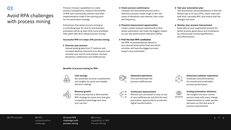### 03

### Avoid RPA challenges with process mining

Process mining's capabilities to create process transparency, measure the benefits of RPA and continuously monitor bots after implementation make it the starting point for the automation strategy.

Enterprises that adopt process mining as a controlling layer for end-to-end business processes will be at least 20% more profitable than peers that don't adopt process mining.<sup>9</sup>

#### **Successful RPA in 6 steps with process mining**

#### – **Discover your process**

Upload existing data from IT systems and recorded desktop interactions to discover and visualize your end-to-end process. Uncover deviations, bottlenecks and inefficiencies.

#### **Benefits of process mining for RPA**



#### **Cost savings**

Get automatic process visualizations and insights for quick and reliable decision-making.

|--|

#### **Revenue growth**

Devise and execute a data-backed RPA strategy for quick wins that gain competitive advantage and raise your top line.

#### – **Check process conformance**

Compare the discovered process with a reference process model to get to the root cause of deviations and reworks, their costs and frequency.

- – **Pinpoint improvement opportunities**  Create custom analysis dashboards to find where automation will make the biggest impact on your key performance indicators (KPIs).
- – **Find the best RPA candidates**

Get RPA recommendations based on your desired automation level and which activities will have the biggest process impact once automated.

#### – **Test your automation plan**

Test automation recommendations to find the fastest way to hit your KPIs, lower costs and lead time, calculate ROI, and ensure that the changes will work.

#### – **Monitor your process improvement**

Keep tabs on your augmented process for better process governance and compliance by continuously monitoring efficiency and effectiveness.



#### **Continuous improvement**

Monitor your processes to stay on top of new inefficiencies and find the next automation opportunity to accelerate digital transformation.



 $0 - 0 - 0$ 

**Enhanced customer experience** Eradicate nonconformances for smooth and predictable process performance.



#### **Scaling automation initiatives** Get insights into your current process state with every change implementation to make quicker decisions on the next area of process improvement.

#### 01 RPA benefits 02 RPA

implementation challenges

03 Avoid RPA 03 challenges with process mining

04 Unique capabilities of IBM Process Mining

 $\langle 7 \rangle$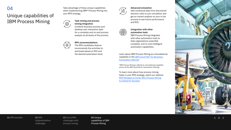### 04

### Unique capabilities of IBM Process Mining

Take advantage of these unique capabilities when implementing IBM® Process Mining into your RPA strategy.

> **Task mining and process mining integration** Combine business process and desktop user interaction data for a complete end-to-end process

analysis at all levels of the process.



ිදුයි<br>ි

#### **RPA recommendations**

The RPA candidates feature recommends the activities to automate based on ROI and the desired automation level.

### **Advanced simulation**  $\left(\bigoplus_{r=1}^{N} x\right)$

Add contextual data from discovered decision rules to your simulation and get an instant analysis on your to-be process to see future performance and ROI.

#### **Integration with other**

**automation tools** IBM Process Mining integrates with other automation tools to help organizations assemble complete, end-to-end intelligent automation capabilities.

Learn about IBM Process Mining as a foundational capability in the **IBM Cloud Pak®** for Business [Automation offering.](https://www.ibm.com/cloud/cloud-pak-for-business-automation?utm_content=SRCWW&p1=Search&p4=43700066790054914&p5=e&gclid=EAIaIQobChMIsuHX2suS9AIVSoBQBh0CBAhWEAAYASAAEgJ-_PD_BwE&gclsrc=aw.ds)\*

\*IBM Process Mining is offered as a foundational capability across all the IBM Cloud Pak for Automation offerings.

To learn more about how process mining helps in your RPA strategy, watch our webinar [RPA Mistakes to Avoid: Why Process Mining](https://event.on24.com/wcc/r/3527703/0F326581CAB6A1B746392761E171B6D0)  [is Critical for Success](https://event.on24.com/wcc/r/3527703/0F326581CAB6A1B746392761E171B6D0).



#### 01 RPA benefits 02 RPA

implementation challenges

03 Avoid RPA challenges with process mining

04 Unique capabilities of IBM Process Mining

 $\langle 8 \rangle$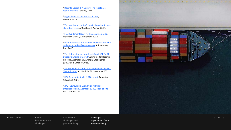<sup>1</sup> Deloitte Global RPA Survey. The robots are [ready. Are you?](https://www2.deloitte.com/ro/en/pages/technology-media-and-telecommunications/articles/deloitte-global-rpa-survey.html) Deloitte, 2018.

<sup>2</sup> [Digital finance: The robots are here,](https://www2.deloitte.com/content/dam/Deloitte/us/Documents/public-sector/us-fed-digital-finance.pdf) Deloitte, 2017.

<sup>3</sup> The robots are coming? Implications for finance [shared services](https://www.accaglobal.com/an/en/technical-activities/technical-resources-search/2015/september/robots-and-the-future-of-finance.html), ACCA Global, August 2015.

<sup>4</sup> [Four fundamentals of workplace automation](https://www.mckinsey.com/business-functions/mckinsey-digital/our-insights/four-fundamentals-of-workplace-automation), McKinsey Digital, 1 November 2015.

<sup>5</sup> [Robotic Process Automation: The impact of RPA](https://fr.majorel.com/wp-content/uploads/2018/07/Arvato_Whitepaper-Impact-of-RPA-on-finance-back-office-processes.pdf)  [on finance back-office processes](https://fr.majorel.com/wp-content/uploads/2018/07/Arvato_Whitepaper-Impact-of-RPA-on-finance-back-office-processes.pdf), A.T. Kearney, Inc., 2018.

<sup>6</sup> [The Automation of Knowledge Work Will Be This](https://irpaai.com/definition-and-benefits)  [Decade's Engine of Growth,](https://irpaai.com/definition-and-benefits) Institute for Robotic Process Automation & Artificial Intelligence (IRPAAI), 1 October 2021.

<sup>7</sup> [44 RPA Statistics from Surveys/Studies: Market](https://research.aimultiple.com/rpa-stats)  [Size, Adoption](https://research.aimultiple.com/rpa-stats), AI Multiple, 30 November 2021.

<sup>8</sup> [RPA Inquiry Spotlight, 2020 report](https://www.forrester.com/report/rpa-inquiry-spotlight-2020/RES160583?RegId=1-WMA0VN&objectid=RES160583), Forrester, 13 August 2021.

<sup>9</sup> [IDC FutureScape: Worldwide Artificial](https://www.idc.com/getdoc.jsp?containerId=US48298421)  [Intelligence and Automation 2022 Predictions,](https://www.idc.com/getdoc.jsp?containerId=US48298421) IDC, October 2021.



#### 01 RPA benefits 02 RPA

implementation challenges

03 Avoid RPA challenges with process mining

04 Unique capabilities of IBM Process Mining

 $\langle 9 \rangle$